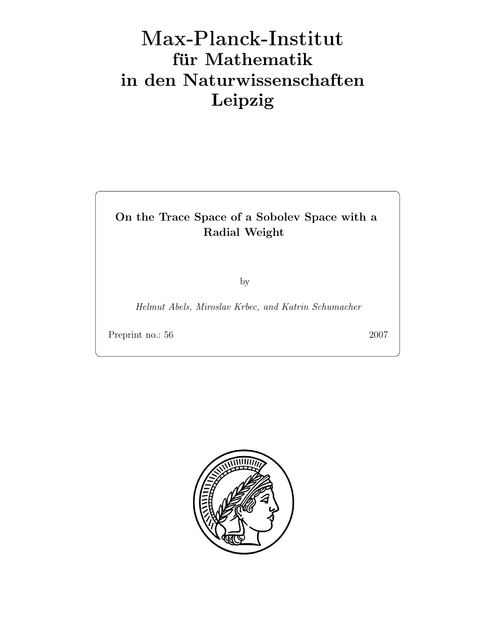# Max-Plan
k-Institut für Mathematik in den Naturwissenschaften Leipzig

# On the Trace Space of a Sobolev Space with a Radial Weight

by

Helmut Abels, Miroslav Krbec, and Katrin Schumacher

Preprint no.: 56 2007

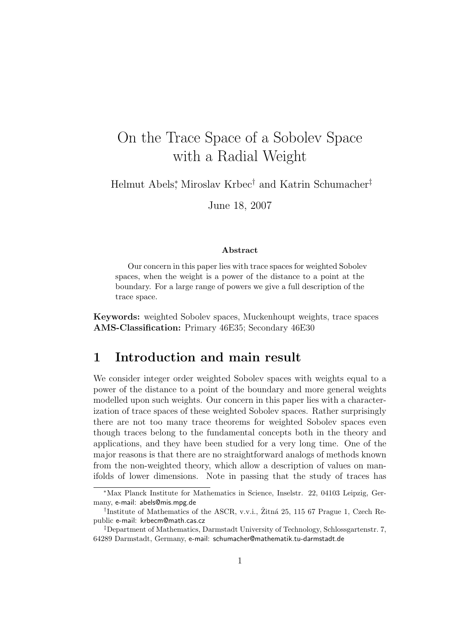# On the Trace Space of a Sobolev Space with a Radial Weight

Helmut Abels<sup>∗</sup> , Miroslav Krbec† and Katrin Schumacher‡

June 18, 2007

#### Abstract

Our concern in this paper lies with trace spaces for weighted Sobolev spaces, when the weight is a power of the distance to a point at the boundary. For a large range of powers we give a full description of the trace space.

Keywords: weighted Sobolev spaces, Muckenhoupt weights, trace spaces AMS-Classification: Primary 46E35; Secondary 46E30

## 1 Introduction and main result

We consider integer order weighted Sobolev spaces with weights equal to a power of the distance to a point of the boundary and more general weights modelled upon such weights. Our concern in this paper lies with a characterization of trace spaces of these weighted Sobolev spaces. Rather surprisingly there are not too many trace theorems for weighted Sobolev spaces even though traces belong to the fundamental concepts both in the theory and applications, and they have been studied for a very long time. One of the major reasons is that there are no straightforward analogs of methods known from the non-weighted theory, which allow a description of values on manifolds of lower dimensions. Note in passing that the study of traces has

<sup>∗</sup>Max Planck Institute for Mathematics in Science, Inselstr. 22, 04103 Leipzig, Germany, e-mail: abels@mis.mpg.de

<sup>&</sup>lt;sup>†</sup>Institute of Mathematics of the ASCR, v.v.i., Žitná 25, 115 67 Prague 1, Czech Republic e-mail: krbecm@math.cas.cz

<sup>‡</sup>Department of Mathematics, Darmstadt University of Technology, Schlossgartenstr. 7, 64289 Darmstadt, Germany, e-mail: schumacher@mathematik.tu-darmstadt.de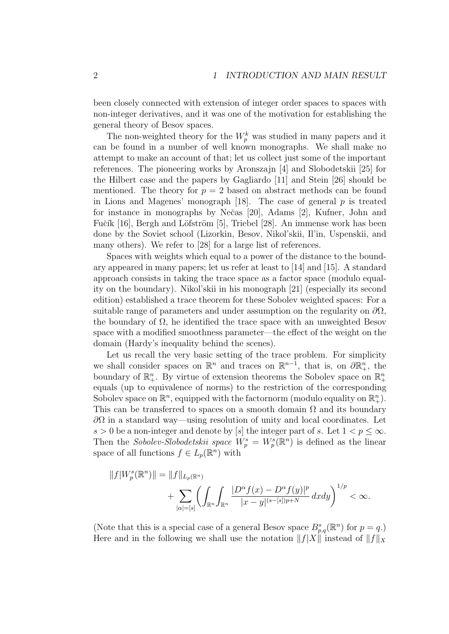been closely connected with extension of integer order spaces to spaces with non-integer derivatives, and it was one of the motivation for establishing the general theory of Besov spaces.

The non-weighted theory for the  $W_p^k$  was studied in many papers and it can be found in a number of well known monographs. We shall make no attempt to make an account of that; let us collect just some of the important references. The pioneering works by Aronszajn [4] and Slobodetskii [25] for the Hilbert case and the papers by Gagliardo [11] and Stein [26] should be mentioned. The theory for  $p = 2$  based on abstract methods can be found in Lions and Magenes' monograph  $[18]$ . The case of general p is treated for instance in monographs by Neˇcas [20], Adams [2], Kufner, John and Fučík [16], Bergh and Löfström [5], Triebel [28]. An immense work has been done by the Soviet school (Lizorkin, Besov, Nikol'skii, Il'in, Uspenskii, and many others). We refer to [28] for a large list of references.

Spaces with weights which equal to a power of the distance to the boundary appeared in many papers; let us refer at least to [14] and [15]. A standard approach consists in taking the trace space as a factor space (modulo equality on the boundary). Nikol'skii in his monograph [21] (especially its second edition) established a trace theorem for these Sobolev weighted spaces: For a suitable range of parameters and under assumption on the regularity on  $\partial\Omega$ , the boundary of  $\Omega$ , he identified the trace space with an unweighted Besov space with a modified smoothness parameter—the effect of the weight on the domain (Hardy's inequality behind the scenes).

Let us recall the very basic setting of the trace problem. For simplicity we shall consider spaces on  $\mathbb{R}^n$  and traces on  $\mathbb{R}^{n-1}$ , that is, on  $\partial \mathbb{R}^n_+$ , the boundary of  $\mathbb{R}^n_+$ . By virtue of extension theorems the Sobolev space on  $\mathbb{R}^n_+$ equals (up to equivalence of norms) to the restriction of the corresponding Sobolev space on  $\mathbb{R}^n$ , equipped with the factornorm (modulo equality on  $\mathbb{R}^n_+$ ). This can be transferred to spaces on a smooth domain  $\Omega$  and its boundary  $\partial\Omega$  in a standard way—using resolution of unity and local coordinates. Let  $s > 0$  be a non-integer and denote by [s] the integer part of s. Let  $1 < p \leq \infty$ . Then the Sobolev-Slobodetskii space  $W_p^s = W_p^s(\mathbb{R}^n)$  is defined as the linear space of all functions  $f \in L_p(\mathbb{R}^n)$  with

$$
||f|W_p^s(\mathbb{R}^n)|| = ||f||_{L_p(\mathbb{R}^n)} + \sum_{|\alpha| = [s]} \left( \int_{\mathbb{R}^n} \int_{\mathbb{R}^n} \frac{|D^{\alpha}f(x) - D^{\alpha}f(y)|^p}{|x - y|^{(s - [s])p + N}} dxdy \right)^{1/p} < \infty.
$$

(Note that this is a special case of a general Besov space  $B_{p,q}^s(\mathbb{R}^n)$  for  $p = q$ .) Here and in the following we shall use the notation  $||f|X||$  instead of  $||f||_X$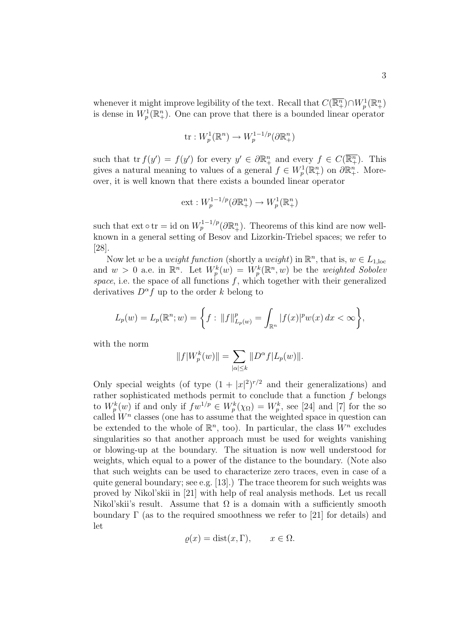whenever it might improve legibility of the text. Recall that  $C(\overline{\mathbb{R}^n_+}) \cap W^1_p(\mathbb{R}^n_+)$ is dense in  $W_p^1(\mathbb{R}^n_+)$ . One can prove that there is a bounded linear operator

tr: 
$$
W_p^1(\mathbb{R}^n) \to W_p^{1-1/p}(\partial \mathbb{R}^n_+)
$$

such that  $\text{tr } f(y') = f(y')$  for every  $y' \in \partial \mathbb{R}^n_+$  and every  $f \in C(\overline{\mathbb{R}^n_+})$ . This gives a natural meaning to values of a general  $f \in W_p^1(\mathbb{R}^n_+)$  on  $\partial \mathbb{R}^n_+$ . Moreover, it is well known that there exists a bounded linear operator

ext: 
$$
W_p^{1-1/p}(\partial \mathbb{R}^n_+) \to W_p^1(\mathbb{R}^n_+)
$$

such that  $ext \circ tr = id$  on  $W_p^{1-1/p}(\partial \mathbb{R}^n_+)$ . Theorems of this kind are now wellknown in a general setting of Besov and Lizorkin-Triebel spaces; we refer to [28].

Now let w be a *weight function* (shortly a *weight*) in  $\mathbb{R}^n$ , that is,  $w \in L_{1,\text{loc}}$ and  $w > 0$  a.e. in  $\mathbb{R}^n$ . Let  $W_p^k(w) = W_p^k(\mathbb{R}^n, w)$  be the weighted Sobolev space, i.e. the space of all functions  $f$ , which together with their generalized derivatives  $D^{\alpha} f$  up to the order k belong to

$$
L_p(w) = L_p(\mathbb{R}^n; w) = \left\{ f : ||f||_{L_p(w)}^p = \int_{\mathbb{R}^n} |f(x)|^p w(x) dx < \infty \right\},\
$$

with the norm

$$
||f|W_p^k(w)|| = \sum_{|\alpha| \le k} ||D^{\alpha}f| L_p(w)||.
$$

Only special weights (of type  $(1+|x|^2)^{r/2}$  and their generalizations) and rather sophisticated methods permit to conclude that a function  $f$  belongs to  $W_p^k(w)$  if and only if  $fw^{1/p} \in W_p^k(\chi_{\Omega}) = W_p^k$ , see [24] and [7] for the so called  $W<sup>n</sup>$  classes (one has to assume that the weighted space in question can be extended to the whole of  $\mathbb{R}^n$ , too). In particular, the class  $W^n$  excludes singularities so that another approach must be used for weights vanishing or blowing-up at the boundary. The situation is now well understood for weights, which equal to a power of the distance to the boundary. (Note also that such weights can be used to characterize zero traces, even in case of a quite general boundary; see e.g. [13].) The trace theorem for such weights was proved by Nikol'skii in [21] with help of real analysis methods. Let us recall Nikol'skii's result. Assume that  $\Omega$  is a domain with a sufficiently smooth boundary  $\Gamma$  (as to the required smoothness we refer to [21] for details) and let

$$
\varrho(x) = \text{dist}(x, \Gamma), \qquad x \in \Omega.
$$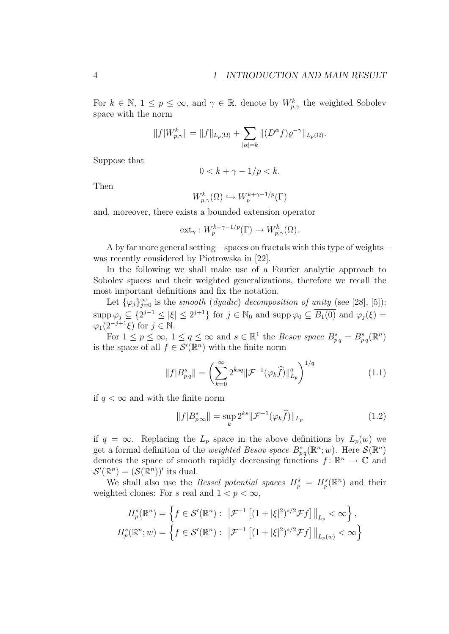For  $k \in \mathbb{N}$ ,  $1 \leq p \leq \infty$ , and  $\gamma \in \mathbb{R}$ , denote by  $W_{p,\gamma}^k$  the weighted Sobolev space with the norm

$$
||f|W_{p,\gamma}^k|| = ||f||_{L_p(\Omega)} + \sum_{|\alpha|=k} ||(D^{\alpha}f) \varrho^{-\gamma}||_{L_p(\Omega)}.
$$

Suppose that

$$
0 < k + \gamma - 1/p < k.
$$

Then

$$
W_{p,\gamma}^k(\Omega) \hookrightarrow W_p^{k+\gamma-1/p}(\Gamma)
$$

and, moreover, there exists a bounded extension operator

$$
\operatorname{ext}_{\gamma}: W_p^{k+\gamma-1/p}(\Gamma) \to W_{p,\gamma}^k(\Omega).
$$

A by far more general setting—spaces on fractals with this type of weights was recently considered by Piotrowska in [22].

In the following we shall make use of a Fourier analytic approach to Sobolev spaces and their weighted generalizations, therefore we recall the most important definitions and fix the notation.

Let  $\{\varphi_j\}_{j=0}^{\infty}$  is the smooth (dyadic) decomposition of unity (see [28], [5]):  $\text{supp}\,\varphi_j \subseteq \{2^{j-1} \leq |\xi| \leq 2^{j+1}\}\,$  for  $j \in \mathbb{N}_0$  and  $\text{supp}\,\varphi_0 \subseteq \overline{B_1(0)}$  and  $\varphi_j(\xi) =$  $\varphi_1(2^{-j+1}\xi)$  for  $j \in \mathbb{N}$ .

For  $1 \leq p \leq \infty$ ,  $1 \leq q \leq \infty$  and  $s \in \mathbb{R}^1$  the *Besov space*  $B_{pq}^s = B_{pq}^s(\mathbb{R}^n)$ is the space of all  $f \in \mathcal{S}'(\mathbb{R}^n)$  with the finite norm

$$
||f|B_{pq}^s|| = \left(\sum_{k=0}^{\infty} 2^{ksq} ||\mathcal{F}^{-1}(\varphi_k \hat{f})||_{L_p}^q\right)^{1/q}
$$
(1.1)

if  $q < \infty$  and with the finite norm

$$
||f|B_{p\infty}^{s}|| = \sup_{k} 2^{ks} ||\mathcal{F}^{-1}(\varphi_{k}\widehat{f})||_{L_{p}}
$$
\n(1.2)

if  $q = \infty$ . Replacing the  $L_p$  space in the above definitions by  $L_p(w)$  we get a formal definition of the *weighted Besov space*  $B_{pq}^s(\mathbb{R}^n; w)$ . Here  $\mathcal{S}(\mathbb{R}^n)$ denotes the space of smooth rapidly decreasing functions  $f: \mathbb{R}^n \to \mathbb{C}$  and  $\mathcal{S}'(\mathbb{R}^n) = (\mathcal{S}(\mathbb{R}^n))'$  its dual.

We shall also use the *Bessel potential spaces*  $H_p^s = H_p^s(\mathbb{R}^n)$  and their weighted clones: For s real and  $1 < p < \infty$ ,

$$
H_p^s(\mathbb{R}^n) = \left\{ f \in \mathcal{S}'(\mathbb{R}^n) : \left\| \mathcal{F}^{-1} \left[ (1 + |\xi|^2)^{s/2} \mathcal{F} f \right] \right\|_{L_p} < \infty \right\},
$$
  

$$
H_p^s(\mathbb{R}^n; w) = \left\{ f \in \mathcal{S}'(\mathbb{R}^n) : \left\| \mathcal{F}^{-1} \left[ (1 + |\xi|^2)^{s/2} \mathcal{F} f \right] \right\|_{L_p(w)} < \infty \right\}
$$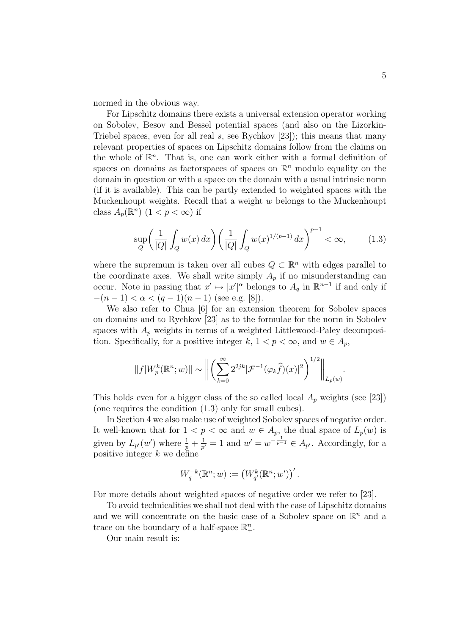normed in the obvious way.

For Lipschitz domains there exists a universal extension operator working on Sobolev, Besov and Bessel potential spaces (and also on the Lizorkin-Triebel spaces, even for all real s, see Rychkov  $[23]$ ; this means that many relevant properties of spaces on Lipschitz domains follow from the claims on the whole of  $\mathbb{R}^n$ . That is, one can work either with a formal definition of spaces on domains as factorspaces of spaces on  $\mathbb{R}^n$  modulo equality on the domain in question or with a space on the domain with a usual intrinsic norm (if it is available). This can be partly extended to weighted spaces with the Muckenhoupt weights. Recall that a weight  $w$  belongs to the Muckenhoupt class  $A_p(\mathbb{R}^n)$   $(1 < p < \infty)$  if

$$
\sup_{Q} \left( \frac{1}{|Q|} \int_{Q} w(x) \, dx \right) \left( \frac{1}{|Q|} \int_{Q} w(x)^{1/(p-1)} \, dx \right)^{p-1} < \infty,\tag{1.3}
$$

where the supremum is taken over all cubes  $Q \subset \mathbb{R}^n$  with edges parallel to the coordinate axes. We shall write simply  $A_p$  if no misunderstanding can occur. Note in passing that  $x' \mapsto |x'|^{\alpha}$  belongs to  $A_q$  in  $\mathbb{R}^{n-1}$  if and only if  $-(n-1) < \alpha < (q-1)(n-1)$  (see e.g. [8]).

We also refer to Chua [6] for an extension theorem for Sobolev spaces on domains and to Rychkov [23] as to the formulae for the norm in Sobolev spaces with  $A_p$  weights in terms of a weighted Littlewood-Paley decomposition. Specifically, for a positive integer k,  $1 < p < \infty$ , and  $w \in A_p$ ,

$$
||f|W_p^k(\mathbb{R}^n; w)|| \sim \left\| \left( \sum_{k=0}^{\infty} 2^{2jk} |\mathcal{F}^{-1}(\varphi_k \widehat{f})(x)|^2 \right)^{1/2} \right\|_{L_p(w)}.
$$

This holds even for a bigger class of the so called local  $A_p$  weights (see [23]) (one requires the condition (1.3) only for small cubes).

In Section 4 we also make use of weighted Sobolev spaces of negative order. It well-known that for  $1 < p < \infty$  and  $w \in A_p$ , the dual space of  $L_p(w)$  is given by  $L_{p'}(w')$  where  $\frac{1}{p} + \frac{1}{p'}$  $\frac{1}{p'}=1$  and  $w'=w^{-\frac{1}{p-1}} \in A_{p'}$ . Accordingly, for a positive integer  $k$  we define

$$
W_q^{-k}(\mathbb{R}^n; w) := (W_{q'}^k(\mathbb{R}^n; w'))'.
$$

For more details about weighted spaces of negative order we refer to [23].

To avoid technicalities we shall not deal with the case of Lipschitz domains and we will concentrate on the basic case of a Sobolev space on  $\mathbb{R}^n$  and a trace on the boundary of a half-space  $\mathbb{R}^n_+$ .

Our main result is: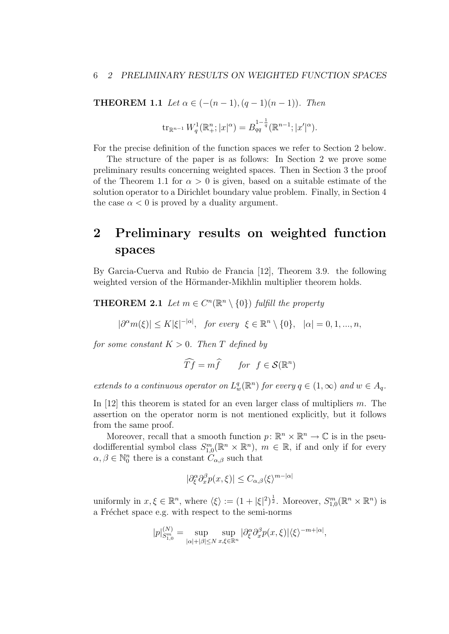**THEOREM 1.1** Let  $\alpha \in (-(n-1),(q-1)(n-1))$ . Then

$$
\mathrm{tr}_{\mathbb{R}^{n-1}} W_q^1(\mathbb{R}^n_+; |x|^\alpha) = B_{qq}^{1-\frac{1}{q}}(\mathbb{R}^{n-1}; |x'|^\alpha).
$$

For the precise definition of the function spaces we refer to Section 2 below.

The structure of the paper is as follows: In Section 2 we prove some preliminary results concerning weighted spaces. Then in Section 3 the proof of the Theorem 1.1 for  $\alpha > 0$  is given, based on a suitable estimate of the solution operator to a Dirichlet boundary value problem. Finally, in Section 4 the case  $\alpha < 0$  is proved by a duality argument.

# 2 Preliminary results on weighted function spaces

By Garcia-Cuerva and Rubio de Francia [12], Theorem 3.9. the following weighted version of the Hörmander-Mikhlin multiplier theorem holds.

**THEOREM 2.1** Let  $m \in C^n(\mathbb{R}^n \setminus \{0\})$  fulfill the property

$$
|\partial^{\alpha}m(\xi)| \le K|\xi|^{-|\alpha|}, \text{ for every } \xi \in \mathbb{R}^n \setminus \{0\}, \quad |\alpha| = 0, 1, ..., n,
$$

for some constant  $K > 0$ . Then T defined by

$$
\widehat{Tf} = m\widehat{f} \qquad \text{for} \ \ f \in \mathcal{S}(\mathbb{R}^n)
$$

extends to a continuous operator on  $L_w^q(\mathbb{R}^n)$  for every  $q \in (1,\infty)$  and  $w \in A_q$ .

In [12] this theorem is stated for an even larger class of multipliers  $m$ . The assertion on the operator norm is not mentioned explicitly, but it follows from the same proof.

Moreover, recall that a smooth function  $p: \mathbb{R}^n \times \mathbb{R}^n \to \mathbb{C}$  is in the pseudodifferential symbol class  $S^m_{1,0}(\mathbb{R}^n \times \mathbb{R}^n)$ ,  $m \in \mathbb{R}$ , if and only if for every  $\alpha, \beta \in \mathbb{N}_0^n$  there is a constant  $C_{\alpha, \beta}$  such that

$$
|\partial_{\xi}^{\alpha}\partial_{x}^{\beta}p(x,\xi)| \leq C_{\alpha,\beta}\langle \xi \rangle^{m-|\alpha|}
$$

uniformly in  $x, \xi \in \mathbb{R}^n$ , where  $\langle \xi \rangle := (1 + |\xi|^2)^{\frac{1}{2}}$ . Moreover,  $S_{1,0}^m(\mathbb{R}^n \times \mathbb{R}^n)$  is a Fréchet space e.g. with respect to the semi-norms

$$
|p|_{S_{1,0}^m}^{(N)} = \sup_{|\alpha|+|\beta| \leq N} \sup_{x,\xi \in \mathbb{R}^n} |\partial_{\xi}^{\alpha} \partial_x^{\beta} p(x,\xi)| \langle \xi \rangle^{-m+|\alpha|},
$$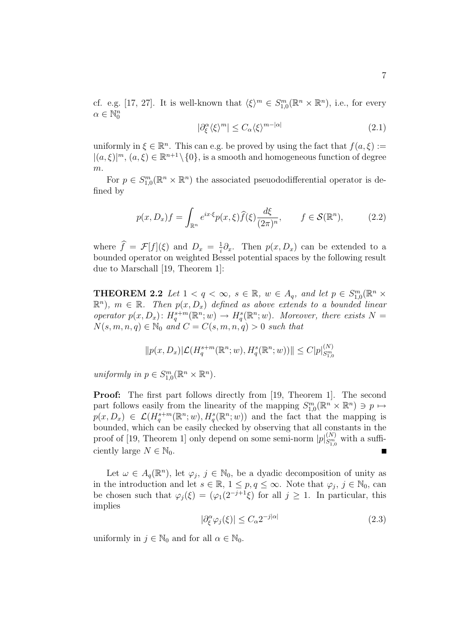cf. e.g. [17, 27]. It is well-known that  $\langle \xi \rangle^m \in S^m_{1,0}(\mathbb{R}^n \times \mathbb{R}^n)$ , i.e., for every  $\alpha \in \mathbb{N}_0^n$ 

$$
|\partial_{\xi}^{\alpha}\langle \xi \rangle^{m}| \le C_{\alpha} \langle \xi \rangle^{m-|\alpha|} \tag{2.1}
$$

uniformly in  $\xi \in \mathbb{R}^n$ . This can e.g. be proved by using the fact that  $f(a, \xi) :=$  $|(a,\xi)|^m$ ,  $(a,\xi) \in \mathbb{R}^{n+1} \setminus \{0\}$ , is a smooth and homogeneous function of degree  $m$ .

For  $p \in S^m_{1,0}(\mathbb{R}^n \times \mathbb{R}^n)$  the associated pseuododifferential operator is defined by

$$
p(x, D_x)f = \int_{\mathbb{R}^n} e^{ix\cdot\xi} p(x, \xi) \widehat{f}(\xi) \frac{d\xi}{(2\pi)^n}, \qquad f \in \mathcal{S}(\mathbb{R}^n), \tag{2.2}
$$

where  $f = \mathcal{F}[f](\xi)$  and  $D_x = \frac{1}{i}$  $\frac{1}{i}\partial_x$ . Then  $p(x, D_x)$  can be extended to a bounded operator on weighted Bessel potential spaces by the following result due to Marschall [19, Theorem 1]:

**THEOREM 2.2** Let  $1 < q < \infty$ ,  $s \in \mathbb{R}$ ,  $w \in A_q$ , and let  $p \in S^m_{1,0}(\mathbb{R}^n \times$  $\mathbb{R}^n$ ),  $m \in \mathbb{R}$ . Then  $p(x, D_x)$  defined as above extends to a bounded linear operator  $p(x, D_x)$ :  $H_q^{s+m}(\mathbb{R}^n; w) \to H_q^{s}(\mathbb{R}^n; w)$ . Moreover, there exists  $N =$  $N(s, m, n, q) \in \mathbb{N}_0$  and  $C = C(s, m, n, q) > 0$  such that

$$
||p(x, D_x)|\mathcal{L}(H_q^{s+m}(\mathbb{R}^n; w), H_q^{s}(\mathbb{R}^n; w))|| \leq C|p|_{S_{1,0}^m}^{(N)}
$$

uniformly in  $p \in S^m_{1,0}(\mathbb{R}^n \times \mathbb{R}^n)$ .

Proof: The first part follows directly from [19, Theorem 1]. The second part follows easily from the linearity of the mapping  $S^m_{1,0}(\mathbb{R}^n \times \mathbb{R}^n) \ni p \mapsto$  $p(x, D_x) \in \mathcal{L}(H_q^{s+m}(\mathbb{R}^n; w), H_q^{s}(\mathbb{R}^n; w))$  and the fact that the mapping is bounded, which can be easily checked by observing that all constants in the proof of [19, Theorem 1] only depend on some semi-norm  $|p|_{S_m}^{(N)}$  $S_{1,0}^{(N)}$  with a sufficiently large  $N \in \mathbb{N}_0$ . г

Let  $\omega \in A_q(\mathbb{R}^n)$ , let  $\varphi_j, j \in \mathbb{N}_0$ , be a dyadic decomposition of unity as in the introduction and let  $s \in \mathbb{R}$ ,  $1 \leq p, q \leq \infty$ . Note that  $\varphi_j, j \in \mathbb{N}_0$ , can be chosen such that  $\varphi_j(\xi) = (\varphi_1(2^{-j+1}\xi))$  for all  $j \geq 1$ . In particular, this implies

$$
|\partial_{\xi}^{\alpha}\varphi_{j}(\xi)| \leq C_{\alpha} 2^{-j|\alpha|} \tag{2.3}
$$

uniformly in  $j \in \mathbb{N}_0$  and for all  $\alpha \in \mathbb{N}_0$ .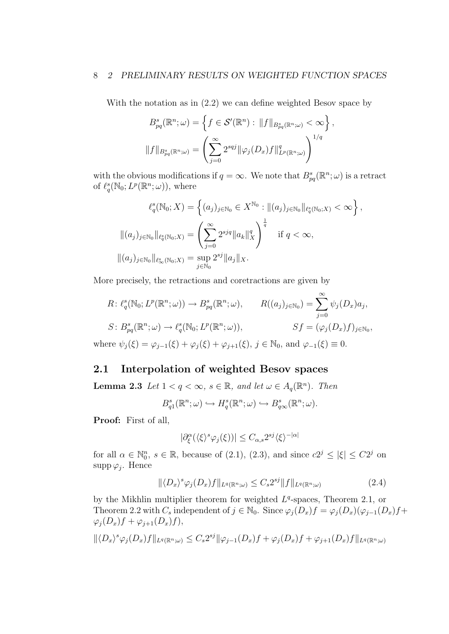#### 8 2 PRELIMINARY RESULTS ON WEIGHTED FUNCTION SPACES

With the notation as in (2.2) we can define weighted Besov space by

$$
B_{pq}^{s}(\mathbb{R}^{n};\omega) = \left\{ f \in \mathcal{S}'(\mathbb{R}^{n}) : ||f||_{B_{pq}^{s}(\mathbb{R}^{n};\omega)} < \infty \right\},
$$
  

$$
||f||_{B_{pq}^{s}(\mathbb{R}^{n};\omega)} = \left( \sum_{j=0}^{\infty} 2^{sqj} ||\varphi_{j}(D_{x})f||_{L^{p}(\mathbb{R}^{n};\omega)}^{q} \right)^{1/q}
$$

with the obvious modifications if  $q = \infty$ . We note that  $B_{pq}^s(\mathbb{R}^n;\omega)$  is a retract of  $\ell_q^s(\mathbb{N}_0; L^p(\mathbb{R}^n; \omega))$ , where

$$
\ell_q^s(\mathbb{N}_0; X) = \left\{ (a_j)_{j \in \mathbb{N}_0} \in X^{\mathbb{N}_0} : ||(a_j)_{j \in \mathbb{N}_0}||_{\ell_q^s(\mathbb{N}_0; X)} < \infty \right\},
$$
  

$$
||(a_j)_{j \in \mathbb{N}_0}||_{\ell_q^s(\mathbb{N}_0; X)} = \left( \sum_{j=0}^{\infty} 2^{sjq} ||a_k||_X^q \right)^{\frac{1}{q}} \quad \text{if } q < \infty,
$$
  

$$
||(a_j)_{j \in \mathbb{N}_0}||_{\ell_\infty^s(\mathbb{N}_0; X)} = \sup_{j \in \mathbb{N}_0} 2^{sj} ||a_j||_X.
$$

More precisely, the retractions and coretractions are given by

$$
R: \ell_q^s(\mathbb{N}_0; L^p(\mathbb{R}^n; \omega)) \to B_{pq}^s(\mathbb{R}^n; \omega), \qquad R((a_j)_{j \in \mathbb{N}_0}) = \sum_{j=0}^{\infty} \psi_j(D_x) a_j,
$$
  

$$
S: B_{pq}^s(\mathbb{R}^n; \omega) \to \ell_q^s(\mathbb{N}_0; L^p(\mathbb{R}^n; \omega)), \qquad Sf = (\varphi_j(D_x)f)_{j \in \mathbb{N}_0},
$$
  
where  $\psi_j(\xi) = \varphi_{j-1}(\xi) + \varphi_j(\xi) + \varphi_{j+1}(\xi), j \in \mathbb{N}_0$ , and  $\varphi_{-1}(\xi) \equiv 0$ .

### 2.1 Interpolation of weighted Besov spaces

**Lemma 2.3** Let  $1 < q < \infty$ ,  $s \in \mathbb{R}$ , and let  $\omega \in A_q(\mathbb{R}^n)$ . Then

$$
B_{q1}^s(\mathbb{R}^n;\omega) \hookrightarrow H_q^s(\mathbb{R}^n;\omega) \hookrightarrow B_{q\infty}^s(\mathbb{R}^n;\omega).
$$

Proof: First of all,

$$
|\partial^{\alpha}_{\xi}(\langle\xi\rangle^{s}\varphi_{j}(\xi))|\leq C_{\alpha,s}2^{sj}\langle\xi\rangle^{-|\alpha|}
$$

for all  $\alpha \in \mathbb{N}_0^n$ ,  $s \in \mathbb{R}$ , because of (2.1), (2.3), and since  $c2^j \leq |\xi| \leq C2^j$  on  $\supp \varphi_j$ . Hence

$$
\|\langle D_x \rangle^s \varphi_j(D_x) f\|_{L^q(\mathbb{R}^n;\omega)} \le C_s 2^{sj} \|f\|_{L^q(\mathbb{R}^n;\omega)}
$$
\n(2.4)

by the Mikhlin multiplier theorem for weighted  $L<sup>q</sup>$ -spaces, Theorem 2.1, or Theorem 2.2 with  $C_s$  independent of  $j \in \mathbb{N}_0$ . Since  $\varphi_j(D_x)f = \varphi_j(D_x)(\varphi_{j-1}(D_x)f +$  $\varphi_j(D_x)f + \varphi_{j+1}(D_x)f$ 

$$
\|\langle D_x \rangle^s \varphi_j(D_x) f\|_{L^q(\mathbb{R}^n;\omega)} \leq C_s 2^{sj} \|\varphi_{j-1}(D_x) f + \varphi_j(D_x) f + \varphi_{j+1}(D_x) f\|_{L^q(\mathbb{R}^n;\omega)}
$$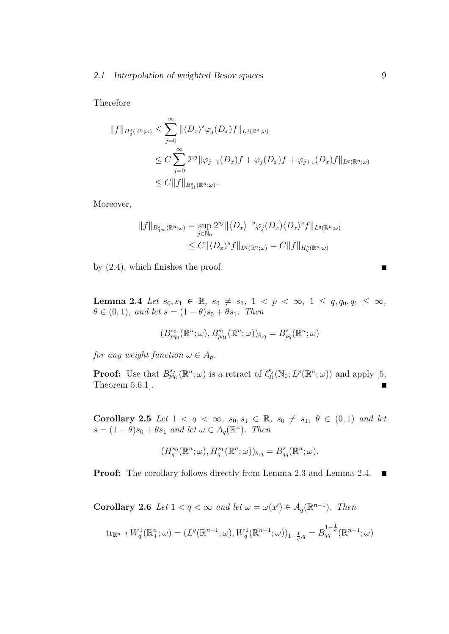Therefore

$$
||f||_{H_q^s(\mathbb{R}^n;\omega)} \leq \sum_{j=0}^{\infty} ||\langle D_x \rangle^s \varphi_j(D_x) f||_{L^q(\mathbb{R}^n;\omega)}
$$
  

$$
\leq C \sum_{j=0}^{\infty} 2^{sj} ||\varphi_{j-1}(D_x)f + \varphi_j(D_x)f + \varphi_{j+1}(D_x)f||_{L^q(\mathbb{R}^n;\omega)}
$$
  

$$
\leq C ||f||_{B_{q_1}^s(\mathbb{R}^n;\omega)}.
$$

Moreover,

$$
||f||_{B_{q\infty}^s(\mathbb{R}^n;\omega)} = \sup_{j \in \mathbb{N}_0} 2^{sj} ||\langle D_x \rangle^{-s} \varphi_j(D_x) \langle D_x \rangle^s f||_{L^q(\mathbb{R}^n;\omega)}
$$
  

$$
\leq C ||\langle D_x \rangle^s f||_{L^q(\mathbb{R}^n;\omega)} = C ||f||_{H_q^s(\mathbb{R}^n;\omega)}
$$

by (2.4), which finishes the proof.

Lemma 2.4 Let  $s_0, s_1 \in \mathbb{R}$ ,  $s_0 \neq s_1$ ,  $1 < p < \infty$ ,  $1 \leq q, q_0, q_1 \leq \infty$ ,  $\theta \in (0,1)$ , and let  $s = (1-\theta)s_0 + \theta s_1$ . Then

$$
(B^{s_0}_{pq_0}(\mathbb{R}^n;\omega),B^{s_1}_{pq_1}(\mathbb{R}^n;\omega))_{\theta,q}=B^{s}_{pq}(\mathbb{R}^n;\omega)
$$

for any weight function  $\omega \in A_p$ .

**Proof:** Use that  $B_{pq_j}^{s_j}(\mathbb{R}^n;\omega)$  is a retract of  $\ell_{q_j}^{s_j}(\mathbb{N}_0;L^p(\mathbb{R}^n;\omega))$  and apply [5, Theorem 5.6.1].  $\blacksquare$ 

Corollary 2.5 Let  $1 < q < \infty$ ,  $s_0, s_1 \in \mathbb{R}$ ,  $s_0 \neq s_1$ ,  $\theta \in (0,1)$  and let  $s = (1 - \theta)s_0 + \theta s_1$  and let  $\omega \in A_q(\mathbb{R}^n)$ . Then

$$
(H_q^{s_0}(\mathbb{R}^n;\omega), H_q^{s_1}(\mathbb{R}^n;\omega))_{\theta,q} = B_{qq}^s(\mathbb{R}^n;\omega).
$$

Proof: The corollary follows directly from Lemma 2.3 and Lemma 2.4.  $\blacksquare$ 

**Corollary 2.6** Let  $1 < q < \infty$  and let  $\omega = \omega(x') \in A_q(\mathbb{R}^{n-1})$ . Then

$$
\text{tr}_{\mathbb{R}^{n-1}} W_q^1(\mathbb{R}^n_+;\omega) = (L^q(\mathbb{R}^{n-1};\omega), W_q^1(\mathbb{R}^{n-1};\omega))_{1-\frac{1}{q},q} = B_{qq}^{1-\frac{1}{q}}(\mathbb{R}^{n-1};\omega)
$$

 $\blacksquare$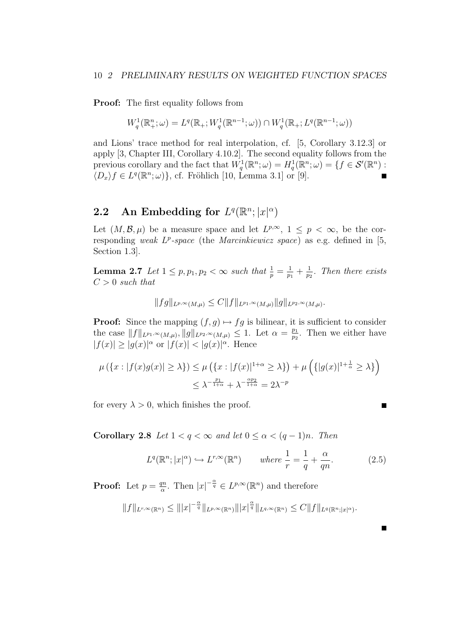#### 10 2 PRELIMINARY RESULTS ON WEIGHTED FUNCTION SPACES

**Proof:** The first equality follows from

$$
W^1_q(\mathbb{R}^n_+;\omega)=L^q(\mathbb{R}_+;W^1_q(\mathbb{R}^{n-1};\omega))\cap W^1_q(\mathbb{R}_+;L^q(\mathbb{R}^{n-1};\omega))
$$

and Lions' trace method for real interpolation, cf. [5, Corollary 3.12.3] or apply [3, Chapter III, Corollary 4.10.2]. The second equality follows from the previous corollary and the fact that  $W_q^1(\mathbb{R}^n;\omega) = H_q^1(\mathbb{R}^n;\omega) = \{f \in \mathcal{S}'(\mathbb{R}^n) :$  $\langle D_x \rangle f \in L^q(\mathbb{R}^n;\omega)$ , cf. Fröhlich [10, Lemma 3.1] or [9]. Е

# **2.2** An Embedding for  $L^q(\mathbb{R}^n; |x|^\alpha)$

Let  $(M, \mathcal{B}, \mu)$  be a measure space and let  $L^{p,\infty}$ ,  $1 \leq p < \infty$ , be the corresponding weak  $L^p$ -space (the Marcinkiewicz space) as e.g. defined in [5, Section 1.3].

**Lemma 2.7** Let  $1 \leq p, p_1, p_2 < \infty$  such that  $\frac{1}{p} = \frac{1}{p_1}$  $\frac{1}{p_1} + \frac{1}{p_2}$  $\frac{1}{p_2}$ . Then there exists  $C > 0$  such that

$$
||fg||_{L^{p,\infty}(M,\mu)} \leq C||f||_{L^{p_1,\infty}(M,\mu)} ||g||_{L^{p_2,\infty}(M,\mu)}.
$$

**Proof:** Since the mapping  $(f, g) \mapsto fg$  is bilinear, it is sufficient to consider the case  $||f||_{L^{p_1,\infty}(M,\mu)}, ||g||_{L^{p_2,\infty}(M,\mu)} \leq 1$ . Let  $\alpha = \frac{p_1}{p_2}$  $\frac{p_1}{p_2}$ . Then we either have  $|f(x)| \ge |g(x)|^{\alpha}$  or  $|f(x)| < |g(x)|^{\alpha}$ . Hence

$$
\mu(\lbrace x : |f(x)g(x)| \ge \lambda \rbrace) \le \mu(\lbrace x : |f(x)|^{1+\alpha} \ge \lambda \rbrace) + \mu(\lbrace |g(x)|^{1+\frac{1}{\alpha}} \ge \lambda \rbrace)
$$
  

$$
\le \lambda^{-\frac{p_1}{1+\alpha}} + \lambda^{-\frac{\alpha p_2}{1+\alpha}} = 2\lambda^{-p}
$$

for every  $\lambda > 0$ , which finishes the proof.

Corollary 2.8 Let  $1 < q < \infty$  and let  $0 \leq \alpha < (q-1)n$ . Then

$$
L^{q}(\mathbb{R}^{n};|x|^{\alpha}) \hookrightarrow L^{r,\infty}(\mathbb{R}^{n}) \qquad where \frac{1}{r} = \frac{1}{q} + \frac{\alpha}{qn}.
$$
 (2.5)

П

**Proof:** Let  $p = \frac{qn}{\alpha}$  $\frac{m}{\alpha}$ . Then  $|x|^{-\frac{\alpha}{q}} \in L^{p,\infty}(\mathbb{R}^n)$  and therefore

$$
||f||_{L^{r,\infty}(\mathbb{R}^n)} \leq |||x|^{-\frac{\alpha}{q}}||_{L^{p,\infty}(\mathbb{R}^n)}|||x|^{\frac{\alpha}{q}}||_{L^{q,\infty}(\mathbb{R}^n)} \leq C||f||_{L^{q}(\mathbb{R}^n;|x|^{\alpha})}.
$$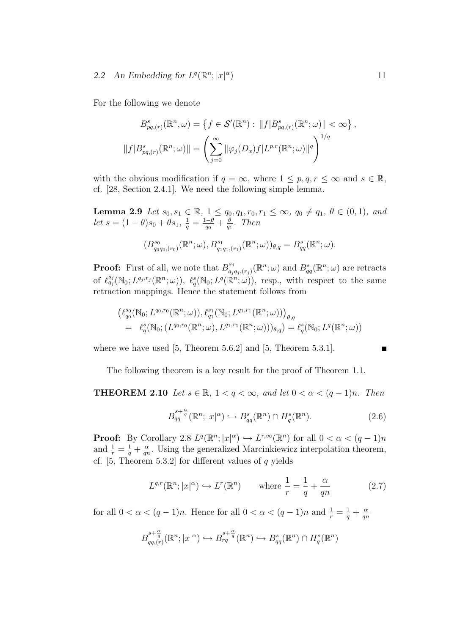### 2.2 An Embedding for  $L^q(\mathbb{R}^n; |x|^{\alpha})$

For the following we denote

$$
B_{pq,(r)}^{s}(\mathbb{R}^{n},\omega) = \left\{ f \in \mathcal{S}'(\mathbb{R}^{n}) : ||f|B_{pq,(r)}^{s}(\mathbb{R}^{n};\omega)|| < \infty \right\},
$$
  

$$
||f|B_{pq,(r)}^{s}(\mathbb{R}^{n};\omega)|| = \left( \sum_{j=0}^{\infty} ||\varphi_{j}(D_{x})f|L^{p,r}(\mathbb{R}^{n};\omega)||^{q} \right)^{1/q}
$$

with the obvious modification if  $q = \infty$ , where  $1 \leq p, q, r \leq \infty$  and  $s \in \mathbb{R}$ , cf. [28, Section 2.4.1]. We need the following simple lemma.

**Lemma 2.9** Let  $s_0, s_1 \in \mathbb{R}$ ,  $1 \le q_0, q_1, r_0, r_1 \le \infty$ ,  $q_0 \ne q_1$ ,  $\theta \in (0, 1)$ , and let  $s = (1 - \theta)s_0 + \theta s_1$ ,  $\frac{1}{q} = \frac{1 - \theta}{q_0}$  $\frac{1-\theta}{q_0}+\frac{\theta}{q_0}$  $\frac{\theta}{q_1}$ . Then  $(B_{a}^{s_0}$  $g_{0q_0,(r_0)}^{s_0}(\mathbb{R}^n;\omega), B_{q_1q_1,(r_1)}^{s_1}(\mathbb{R}^n;\omega))_{\theta,q} = B_{qq}^s(\mathbb{R}^n;\omega).$ 

**Proof:** First of all, we note that  $B_{a}^{s_j}$  $g_{q_j q_j,(r_j)}^{s_j}(\mathbb{R}^n;\omega)$  and  $B_{qq}^s(\mathbb{R}^n;\omega)$  are retracts of  $\ell_{q_i}^{s_j}(\mathbb{N}_0; L^{q_i,r_j}(\mathbb{R}^n;\omega)), \ell_q^s(\mathbb{N}_0; L^q(\mathbb{R}^n;\omega)),$  resp., with respect to the same retraction mappings. Hence the statement follows from

$$
\begin{aligned} &\left(\ell_{q_0}^{s_0}(\mathbb{N}_0; L^{q_0, r_0}(\mathbb{R}^n; \omega)), \ell_{q_1}^{s_1}(\mathbb{N}_0; L^{q_1, r_1}(\mathbb{R}^n; \omega))\right)_{\theta, q} \\ &= \ell_q^{s}(\mathbb{N}_0; (L^{q_0, r_0}(\mathbb{R}^n; \omega), L^{q_1, r_1}(\mathbb{R}^n; \omega)))_{\theta, q}) = \ell_q^{s}(\mathbb{N}_0; L^{q}(\mathbb{R}^n; \omega)) \end{aligned}
$$

where we have used [5, Theorem 5.6.2] and [5, Theorem 5.3.1].

The following theorem is a key result for the proof of Theorem 1.1.

#### **THEOREM 2.10** Let  $s \in \mathbb{R}$ ,  $1 < q < \infty$ , and let  $0 < \alpha < (q-1)n$ . Then

$$
B_{qq}^{s+\frac{\alpha}{q}}(\mathbb{R}^n;|x|^{\alpha}) \hookrightarrow B_{qq}^s(\mathbb{R}^n) \cap H_q^s(\mathbb{R}^n). \tag{2.6}
$$

**Proof:** By Corollary 2.8  $L^q(\mathbb{R}^n; |x|^\alpha) \hookrightarrow L^{r, \infty}(\mathbb{R}^n)$  for all  $0 < \alpha < (q-1)n$ and  $\frac{1}{r} = \frac{1}{q} + \frac{\alpha}{qr}$  $\frac{\alpha}{qn}$ . Using the generalized Marcinkiewicz interpolation theorem, cf.  $[5,$  Theorem 5.3.2] for different values of q yields

$$
L^{q,r}(\mathbb{R}^n;|x|^{\alpha}) \hookrightarrow L^r(\mathbb{R}^n) \qquad \text{where } \frac{1}{r} = \frac{1}{q} + \frac{\alpha}{qn} \tag{2.7}
$$

for all  $0 < \alpha < (q-1)n$ . Hence for all  $0 < \alpha < (q-1)n$  and  $\frac{1}{r} = \frac{1}{q} + \frac{\alpha}{qr}$ qn

$$
B_{qq,(r)}^{s+\frac{\alpha}{q}}(\mathbb{R}^n;|x|^{\alpha}) \hookrightarrow B_{rq}^{s+\frac{\alpha}{q}}(\mathbb{R}^n) \hookrightarrow B_{qq}^{s}(\mathbb{R}^n) \cap H_q^{s}(\mathbb{R}^n)
$$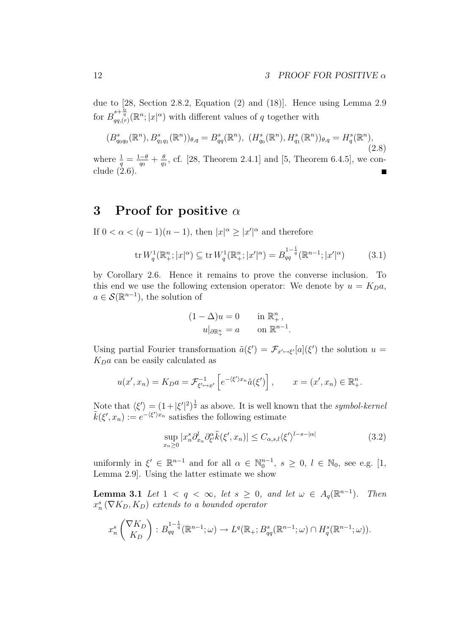due to [28, Section 2.8.2, Equation (2) and (18)]. Hence using Lemma 2.9 for  $B_{qq,(r)}^{s+\frac{\alpha}{q}}(\mathbb{R}^n;|x|^{\alpha})$  with different values of q together with

$$
(B_{q_0q_0}^s(\mathbb{R}^n), B_{q_1q_1}^s(\mathbb{R}^n))_{\theta,q} = B_{qq}^s(\mathbb{R}^n), (H_{q_0}^s(\mathbb{R}^n), H_{q_1}^s(\mathbb{R}^n))_{\theta,q} = H_q^s(\mathbb{R}^n),
$$
\n(2.8)

where  $\frac{1}{q} = \frac{1-\theta}{q_0}$  $\frac{-\theta}{q_0}+\frac{\theta}{q_1}$  $\frac{\theta}{q_1}$ , cf. [28, Theorem 2.4.1] and [5, Theorem 6.4.5], we conclude (2.6).

## 3 Proof for positive  $\alpha$

If  $0 < \alpha < (q-1)(n-1)$ , then  $|x|^{\alpha} \ge |x'|^{\alpha}$  and therefore

$$
\text{tr}\, W_q^1(\mathbb{R}^n_+; |x|^\alpha) \subseteq \text{tr}\, W_q^1(\mathbb{R}^n_+; |x'|^\alpha) = B_{qq}^{1-\frac{1}{q}}(\mathbb{R}^{n-1}; |x'|^\alpha) \tag{3.1}
$$

by Corollary 2.6. Hence it remains to prove the converse inclusion. To this end we use the following extension operator: We denote by  $u = K_D a$ ,  $a \in \mathcal{S}(\mathbb{R}^{n-1})$ , the solution of

$$
(1 - \Delta)u = 0 \t\t \text{in } \mathbb{R}^n_+,
$$
  

$$
u|_{\partial \mathbb{R}^n_+} = a \t\t \text{on } \mathbb{R}^{n-1}.
$$

Using partial Fourier transformation  $\tilde{a}(\xi') = \mathcal{F}_{x' \to \xi'}[a](\xi')$  the solution  $u =$  $K_D a$  can be easily calculated as

$$
u(x',x_n) = K_D a = \mathcal{F}_{\xi' \mapsto x'}^{-1} \left[ e^{-\langle \xi' \rangle x_n} \tilde{a}(\xi') \right], \qquad x = (x',x_n) \in \mathbb{R}_+^n.
$$

Note that  $\langle \xi' \rangle = (1 + |\xi'|^2)^{\frac{1}{2}}$  as above. It is well known that the symbol-kernel  $\tilde{k}(\xi', x_n) := e^{-\langle \xi' \rangle x_n}$  satisfies the following estimate

$$
\sup_{x_n \ge 0} |x_n^s \partial_{x_n}^l \partial_{\xi'}^\alpha \tilde{k}(\xi', x_n)| \le C_{\alpha, s, l} \langle \xi' \rangle^{l - s - |\alpha|}
$$
\n(3.2)

uniformly in  $\xi' \in \mathbb{R}^{n-1}$  and for all  $\alpha \in \mathbb{N}_0^{n-1}$ ,  $s \geq 0$ ,  $l \in \mathbb{N}_0$ , see e.g. [1, Lemma 2.9]. Using the latter estimate we show

**Lemma 3.1** Let  $1 < q < \infty$ , let  $s \geq 0$ , and let  $\omega \in A_q(\mathbb{R}^{n-1})$ . Then  $x_n^s(\nabla K_D, K_D)$  extends to a bounded operator

$$
x_n^s\left(\frac{\nabla K_D}{K_D}\right): B_{qq}^{1-\frac{1}{q}}(\mathbb{R}^{n-1};\omega) \to L^q(\mathbb{R}_+; B_{qq}^s(\mathbb{R}^{n-1};\omega) \cap H_q^s(\mathbb{R}^{n-1};\omega)).
$$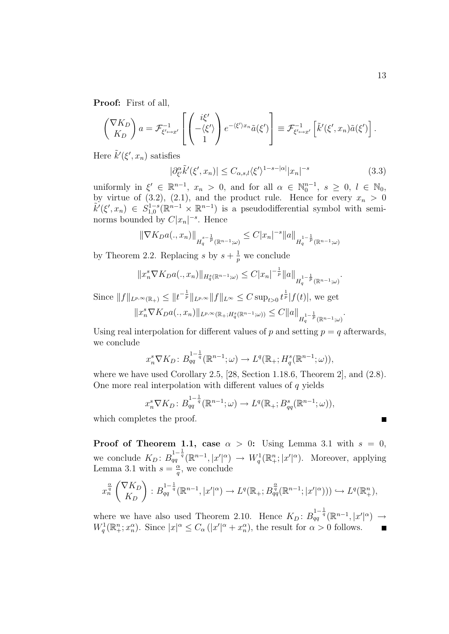Proof: First of all,

$$
\begin{pmatrix} \nabla K_D \\ K_D \end{pmatrix} a = \mathcal{F}_{\xi' \mapsto x'}^{-1} \left[ \begin{pmatrix} i\xi' \\ -\langle \xi' \rangle \\ 1 \end{pmatrix} e^{-\langle \xi' \rangle x_n} \tilde{a}(\xi') \right] \equiv \mathcal{F}_{\xi' \mapsto x'}^{-1} \left[ \tilde{k}'(\xi', x_n) \tilde{a}(\xi') \right].
$$

Here  $\tilde{k}'(\xi', x_n)$  satisfies

$$
|\partial_{\xi'}^{\alpha}\tilde{k}'(\xi',x_n)| \leq C_{\alpha,s,l} \langle \xi' \rangle^{1-s-|\alpha|} |x_n|^{-s}
$$
\n(3.3)

uniformly in  $\xi' \in \mathbb{R}^{n-1}$ ,  $x_n > 0$ , and for all  $\alpha \in \mathbb{N}_0^{n-1}$ ,  $s \geq 0$ ,  $l \in \mathbb{N}_0$ , by virtue of  $(3.2)$ ,  $(2.1)$ , and the product rule. Hence for every  $x_n > 0$  $\tilde{k}'(\xi',x_n) \in S_{1,0}^{1-s}(\mathbb{R}^{n-1} \times \mathbb{R}^{n-1})$  is a pseudodifferential symbol with seminorms bounded by  $C|x_n|^{-s}$ . Hence

$$
\|\nabla K_D a(.,x_n)\|_{H_q^{s-\frac{1}{p}}(\mathbb{R}^{n-1};\omega)} \leq C|x_n|^{-s} \|a\|_{H_q^{1-\frac{1}{p}}(\mathbb{R}^{n-1};\omega)}
$$

by Theorem 2.2. Replacing s by  $s + \frac{1}{n}$  $\frac{1}{p}$  we conclude

$$
||x_n^s \nabla K_D a(.,x_n)||_{H_q^s(\mathbb{R}^{n-1};\omega)} \leq C |x_n|^{-\frac{1}{p}} ||a||_{H_q^{1-\frac{1}{p}}(\mathbb{R}^{n-1};\omega)}
$$

Since  $||f||_{L^{p,\infty}(\mathbb{R}_+)} \leq ||t^{-\frac{1}{p}}||_{L^{p,\infty}} ||f||_{L^{\infty}} \leq C \sup_{t>0} t^{\frac{1}{p}} |f(t)|$ , we get  $||x_n^s \nabla K_D a(., x_n)||_{L^{p,\infty}(\mathbb{R}_+; H^s_q(\mathbb{R}^{n-1}; \omega))} \leq C ||a||_{H^{\frac{1}{1-\frac{1}{p}}}_q(\mathbb{R}^{n-1}; \omega)}$ 

Using real interpolation for different values of p and setting  $p = q$  afterwards, we conclude

$$
x_n^s \nabla K_D \colon B_{qq}^{1-\frac{1}{q}}(\mathbb{R}^{n-1};\omega) \to L^q(\mathbb{R}_+; H_q^s(\mathbb{R}^{n-1};\omega)),
$$

where we have used Corollary 2.5, [28, Section 1.18.6, Theorem 2], and  $(2.8)$ . One more real interpolation with different values of  $q$  yields

$$
x_n^s \nabla K_D \colon B_{qq}^{1-\frac{1}{q}}(\mathbb{R}^{n-1};\omega) \to L^q(\mathbb{R}_+; B_{qq}^s(\mathbb{R}^{n-1};\omega)),
$$

which completes the proof.

**Proof of Theorem 1.1, case**  $\alpha > 0$ : Using Lemma 3.1 with  $s = 0$ , we conclude  $K_D: B_{qq}^{1-\frac{1}{q}}(\mathbb{R}^{n-1}, |x'|^{\alpha}) \to W_q^1(\mathbb{R}^n_+; |x'|^{\alpha})$ . Moreover, applying Lemma 3.1 with  $s = \frac{\alpha}{a}$  $\frac{\alpha}{q}$ , we conclude

$$
x_n^{\frac{\alpha}{q}}\left(\begin{matrix} \nabla K_D \\ K_D \end{matrix}\right) : B_{qq}^{1-\frac{1}{q}}(\mathbb{R}^{n-1}, |x'|^{\alpha}) \to L^q(\mathbb{R}_+; B_{qq}^{\frac{\alpha}{q}}(\mathbb{R}^{n-1}; |x'|^{\alpha}))) \hookrightarrow L^q(\mathbb{R}_+^n),
$$

where we have also used Theorem 2.10. Hence  $K_D: B_{qq}^{1-\frac{1}{q}}(\mathbb{R}^{n-1}, |x'|^{\alpha}) \rightarrow$  $W_q^1(\mathbb{R}^n_+; x_n^{\alpha})$ . Since  $|x|^{\alpha} \leq C_{\alpha}(|x'|^{\alpha}+x_n^{\alpha})$ , the result for  $\alpha > 0$  follows.

.

.

П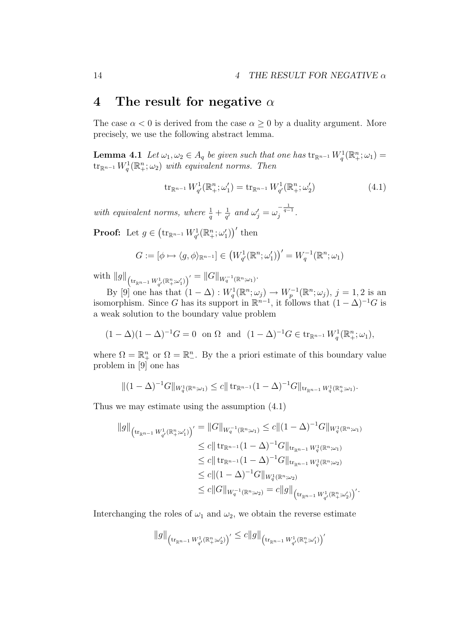### 4 The result for negative  $\alpha$

The case  $\alpha < 0$  is derived from the case  $\alpha \geq 0$  by a duality argument. More precisely, we use the following abstract lemma.

**Lemma 4.1** Let  $\omega_1, \omega_2 \in A_q$  be given such that one has  $\text{tr}_{\mathbb{R}^{n-1}} W_q^1(\mathbb{R}^n_+; \omega_1) =$  $\text{tr}_{\mathbb{R}^{n-1}} W_q^1(\mathbb{R}^n_+;\omega_2)$  with equivalent norms. Then

$$
\operatorname{tr}_{\mathbb{R}^{n-1}} W^1_{q'}(\mathbb{R}^n_+;\omega'_1) = \operatorname{tr}_{\mathbb{R}^{n-1}} W^1_{q'}(\mathbb{R}^n_+;\omega'_2) \tag{4.1}
$$

with equivalent norms, where  $\frac{1}{q} + \frac{1}{q}$  $\frac{1}{q'}$  and  $\omega'_j = \omega_j^{-\frac{1}{q-1}}$  $j^{q-1}$ .

**Proof:** Let  $g \in (\text{tr}_{\mathbb{R}^{n-1}} W^1_{q'}(\mathbb{R}^n_+;\omega'_1))'$  then

$$
G := [\phi \mapsto \langle g, \phi \rangle_{\mathbb{R}^{n-1}}] \in \left(W^1_{q'}(\mathbb{R}^n; \omega'_1)\right)' = W^{-1}_q(\mathbb{R}^n; \omega_1)
$$

 $\text{with } \|g\|_{\left(\text{tr}_{\mathbb{R}^{n-1}} W^1_{q'}(\mathbb{R}^n_+;\omega'_1)\right)'} = \|G\|_{W^{-1}_q(\mathbb{R}^n;\omega_1)}.$ 

By [9] one has that  $(1 - \Delta) : W_q^1(\mathbb{R}^n; \omega_j) \to W_p^{-1}(\mathbb{R}^n; \omega_j), j = 1, 2$  is an isomorphism. Since G has its support in  $\mathbb{R}^{n-1}$ , it follows that  $(1 - \Delta)^{-1}G$  is a weak solution to the boundary value problem

$$
(1 - \Delta)(1 - \Delta)^{-1}G = 0
$$
 on  $\Omega$  and  $(1 - \Delta)^{-1}G \in \text{tr}_{\mathbb{R}^{n-1}} W_q^1(\mathbb{R}^n_+;\omega_1),$ 

where  $\Omega = \mathbb{R}^n_+$  or  $\Omega = \mathbb{R}^n_-$ . By the a priori estimate of this boundary value problem in [9] one has

$$
\|(1-\Delta)^{-1}G\|_{W_q^1(\mathbb{R}^n;\omega_1)} \leq c \|\operatorname{tr}_{\mathbb{R}^{n-1}}(1-\Delta)^{-1}G\|_{\operatorname{tr}_{\mathbb{R}^{n-1}} W_q^1(\mathbb{R}^n_+;\omega_1)}.
$$

Thus we may estimate using the assumption (4.1)

$$
\|g\|_{\left(\mathrm{tr}_{\mathbb{R}^{n-1}} W_{q'}^{1}(\mathbb{R}^{n};\omega_{1}')\right)'} = \|G\|_{W_{q}^{-1}(\mathbb{R}^{n};\omega_{1})} \leq c \|(1-\Delta)^{-1}G\|_{W_{q}^{1}(\mathbb{R}^{n};\omega_{1})}
$$
  
\n
$$
\leq c \|\mathrm{tr}_{\mathbb{R}^{n-1}} (1-\Delta)^{-1}G\|_{\mathrm{tr}_{\mathbb{R}^{n-1}}} W_{q}^{1}(\mathbb{R}^{n};\omega_{1})
$$
  
\n
$$
\leq c \|\mathrm{tr}_{\mathbb{R}^{n-1}} (1-\Delta)^{-1}G\|_{\mathrm{tr}_{\mathbb{R}^{n-1}}} W_{q}^{1}(\mathbb{R}^{n};\omega_{2})
$$
  
\n
$$
\leq c \|(1-\Delta)^{-1}G\|_{W_{q}^{1}(\mathbb{R}^{n};\omega_{2})}
$$
  
\n
$$
\leq c \|G\|_{W_{q}^{-1}(\mathbb{R}^{n};\omega_{2})} = c \|g\|_{\left(\mathrm{tr}_{\mathbb{R}^{n-1}} W_{q'}^{1}(\mathbb{R}^{n};\omega_{2}')\right)'}.
$$

Interchanging the roles of  $\omega_1$  and  $\omega_2$ , we obtain the reverse estimate

$$
\|g\|_{\left(\text{tr}_{\mathbb{R}^{n-1}} W^1_{q'}(\mathbb{R}^n_+;\omega'_2)\right)'} \leq c \|g\|_{\left(\text{tr}_{\mathbb{R}^{n-1}} W^1_{q'}(\mathbb{R}^n_+;\omega'_1)\right)'}
$$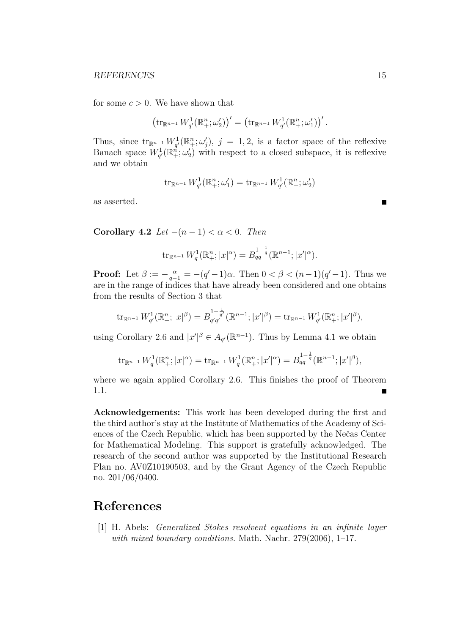#### REFERENCES 15

for some  $c > 0$ . We have shown that

$$
\left(\operatorname{tr}_{\mathbb{R}^{n-1}} W^1_{q'}(\mathbb{R}^n_+;\omega'_2)\right)'=\left(\operatorname{tr}_{\mathbb{R}^{n-1}} W^1_{q'}(\mathbb{R}^n_+;\omega'_1)\right)'.
$$

Thus, since  $\text{tr}_{\mathbb{R}^{n-1}} W^1_{q'}(\mathbb{R}^n_+;\omega'_j), j = 1,2$ , is a factor space of the reflexive Banach space  $W^1_{q'}(\mathbb{R}^n_+;\omega'_2)$  with respect to a closed subspace, it is reflexive and we obtain

$$
\operatorname{tr}_{\mathbb R^{n-1}}W^1_{q'}(\mathbb R^n_+;\omega'_1)=\operatorname{tr}_{\mathbb R^{n-1}}W^1_{q'}(\mathbb R^n_+;\omega'_2)
$$

as asserted.

Corollary 4.2 Let  $-(n-1) < \alpha < 0$ . Then

$$
\operatorname{tr}_{\mathbb{R}^{n-1}} W_q^1(\mathbb{R}^n_+; |x|^\alpha) = B_{qq}^{1-\frac{1}{q}}(\mathbb{R}^{n-1}; |x'|^\alpha).
$$

**Proof:** Let  $\beta := -\frac{\alpha}{q-1} = -(q'-1)\alpha$ . Then  $0 < \beta < (n-1)(q'-1)$ . Thus we are in the range of indices that have already been considered and one obtains from the results of Section 3 that

$$
\operatorname{tr}_{\mathbb{R}^{n-1}} W^1_{q'}(\mathbb{R}^n_+; |x|^{\beta}) = B^{1-\frac{1}{q'}}_{q'q'}(\mathbb{R}^{n-1}; |x'|^{\beta}) = \operatorname{tr}_{\mathbb{R}^{n-1}} W^1_{q'}(\mathbb{R}^n_+; |x'|^{\beta}),
$$

using Corollary 2.6 and  $|x'|^{\beta} \in A_{q'}(\mathbb{R}^{n-1})$ . Thus by Lemma 4.1 we obtain

$$
\operatorname{tr}_{\mathbb{R}^{n-1}} W_q^1(\mathbb{R}^n_+; |x|^\alpha) = \operatorname{tr}_{\mathbb{R}^{n-1}} W_q^1(\mathbb{R}^n_+; |x'|^\alpha) = B_{qq}^{1-\frac{1}{q}}(\mathbb{R}^{n-1}; |x'|^\beta),
$$

where we again applied Corollary 2.6. This finishes the proof of Theorem 1.1.

Acknowledgements: This work has been developed during the first and the third author's stay at the Institute of Mathematics of the Academy of Sciences of the Czech Republic, which has been supported by the Nečas Center for Mathematical Modeling. This support is gratefully acknowledged. The research of the second author was supported by the Institutional Research Plan no. AV0Z10190503, and by the Grant Agency of the Czech Republic no. 201/06/0400.

### References

[1] H. Abels: Generalized Stokes resolvent equations in an infinite layer with mixed boundary conditions. Math. Nachr.  $279(2006)$ , 1–17.

 $\blacksquare$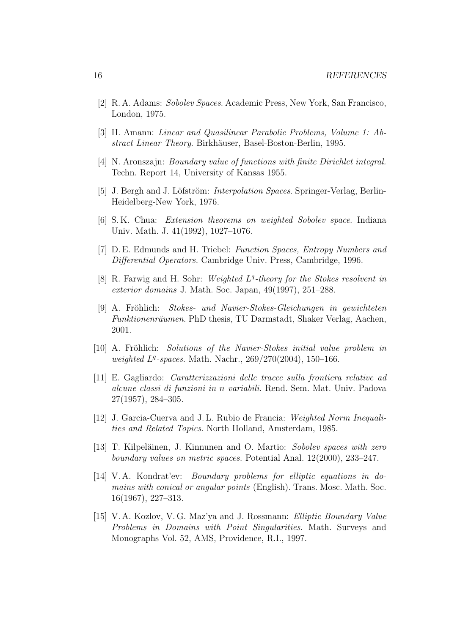- [2] R. A. Adams: Sobolev Spaces. Academic Press, New York, San Francisco, London, 1975.
- [3] H. Amann: Linear and Quasilinear Parabolic Problems, Volume 1: Abstract Linear Theory. Birkhäuser, Basel-Boston-Berlin, 1995.
- [4] N. Aronszajn: Boundary value of functions with finite Dirichlet integral. Techn. Report 14, University of Kansas 1955.
- [5] J. Bergh and J. Löfström: *Interpolation Spaces*. Springer-Verlag, Berlin-Heidelberg-New York, 1976.
- [6] S. K. Chua: Extension theorems on weighted Sobolev space. Indiana Univ. Math. J. 41(1992), 1027–1076.
- [7] D. E. Edmunds and H. Triebel: Function Spaces, Entropy Numbers and Differential Operators. Cambridge Univ. Press, Cambridge, 1996.
- [8] R. Farwig and H. Sohr: Weighted  $L^q$ -theory for the Stokes resolvent in exterior domains J. Math. Soc. Japan, 49(1997), 251–288.
- [9] A. Fröhlich: Stokes- und Navier-Stokes-Gleichungen in gewichteten Funktionenräumen. PhD thesis, TU Darmstadt, Shaker Verlag, Aachen, 2001.
- [10] A. Fröhlich: Solutions of the Navier-Stokes initial value problem in weighted L<sup>q</sup>-spaces. Math. Nachr., 269/270(2004), 150-166.
- [11] E. Gagliardo: Caratterizzazioni delle tracce sulla frontiera relative ad alcune classi di funzioni in n variabili. Rend. Sem. Mat. Univ. Padova 27(1957), 284–305.
- [12] J. Garcia-Cuerva and J. L. Rubio de Francia: Weighted Norm Inequalities and Related Topics. North Holland, Amsterdam, 1985.
- [13] T. Kilpeläinen, J. Kinnunen and O. Martio: Sobolev spaces with zero boundary values on metric spaces. Potential Anal. 12(2000), 233–247.
- [14] V. A. Kondrat'ev: Boundary problems for elliptic equations in domains with conical or angular points (English). Trans. Mosc. Math. Soc. 16(1967), 227–313.
- [15] V. A. Kozlov, V. G. Maz'ya and J. Rossmann: Elliptic Boundary Value Problems in Domains with Point Singularities. Math. Surveys and Monographs Vol. 52, AMS, Providence, R.I., 1997.